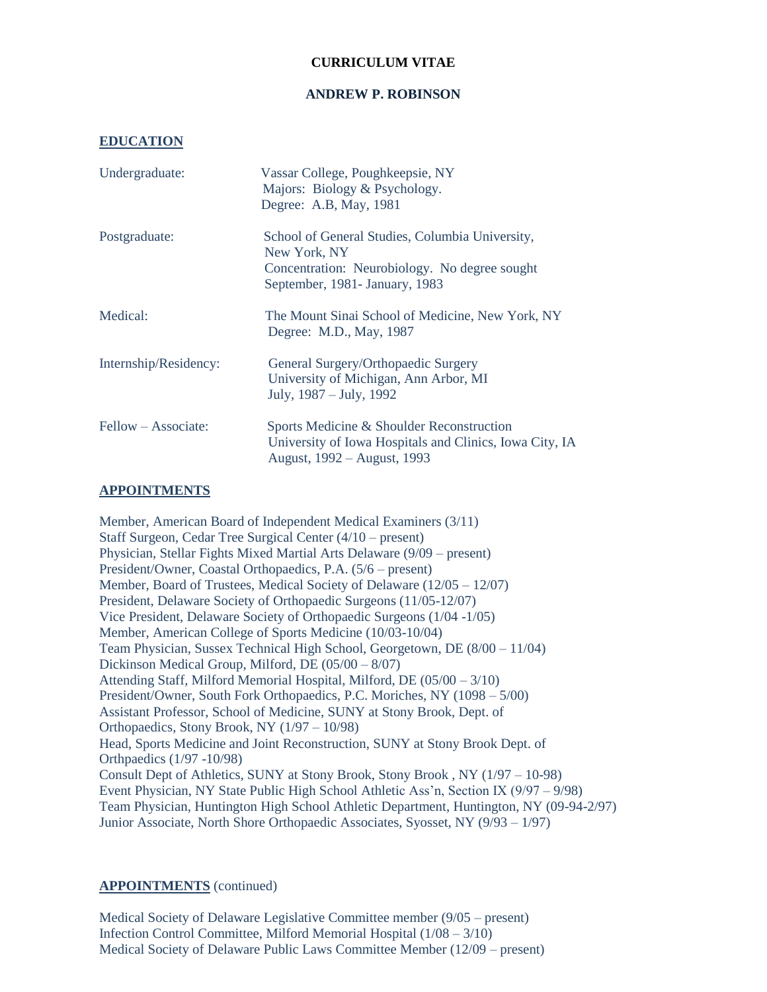## **CURRICULUM VITAE**

#### **ANDREW P. ROBINSON**

#### **EDUCATION**

| Undergraduate:        | Vassar College, Poughkeepsie, NY<br>Majors: Biology & Psychology.<br>Degree: A.B, May, 1981                                                        |
|-----------------------|----------------------------------------------------------------------------------------------------------------------------------------------------|
| Postgraduate:         | School of General Studies, Columbia University,<br>New York, NY<br>Concentration: Neurobiology. No degree sought<br>September, 1981- January, 1983 |
| Medical:              | The Mount Sinai School of Medicine, New York, NY<br>Degree: M.D., May, 1987                                                                        |
| Internship/Residency: | General Surgery/Orthopaedic Surgery<br>University of Michigan, Ann Arbor, MI<br>July, 1987 – July, 1992                                            |
| Fellow – Associate:   | Sports Medicine & Shoulder Reconstruction<br>University of Iowa Hospitals and Clinics, Iowa City, IA<br>August, 1992 – August, 1993                |

### **APPOINTMENTS**

Member, American Board of Independent Medical Examiners (3/11) Staff Surgeon, Cedar Tree Surgical Center (4/10 – present) Physician, Stellar Fights Mixed Martial Arts Delaware (9/09 – present) President/Owner, Coastal Orthopaedics, P.A. (5/6 – present) Member, Board of Trustees, Medical Society of Delaware (12/05 – 12/07) President, Delaware Society of Orthopaedic Surgeons (11/05-12/07) Vice President, Delaware Society of Orthopaedic Surgeons (1/04 -1/05) Member, American College of Sports Medicine (10/03-10/04) Team Physician, Sussex Technical High School, Georgetown, DE (8/00 – 11/04) Dickinson Medical Group, Milford, DE (05/00 – 8/07) Attending Staff, Milford Memorial Hospital, Milford, DE (05/00 – 3/10) President/Owner, South Fork Orthopaedics, P.C. Moriches, NY (1098 – 5/00) Assistant Professor, School of Medicine, SUNY at Stony Brook, Dept. of Orthopaedics, Stony Brook, NY (1/97 – 10/98) Head, Sports Medicine and Joint Reconstruction, SUNY at Stony Brook Dept. of Orthpaedics (1/97 -10/98) Consult Dept of Athletics, SUNY at Stony Brook, Stony Brook , NY (1/97 – 10-98) Event Physician, NY State Public High School Athletic Ass'n, Section IX (9/97 – 9/98) Team Physician, Huntington High School Athletic Department, Huntington, NY (09-94-2/97) Junior Associate, North Shore Orthopaedic Associates, Syosset, NY (9/93 – 1/97)

### **APPOINTMENTS** (continued)

Medical Society of Delaware Legislative Committee member (9/05 – present) Infection Control Committee, Milford Memorial Hospital (1/08 – 3/10) Medical Society of Delaware Public Laws Committee Member (12/09 – present)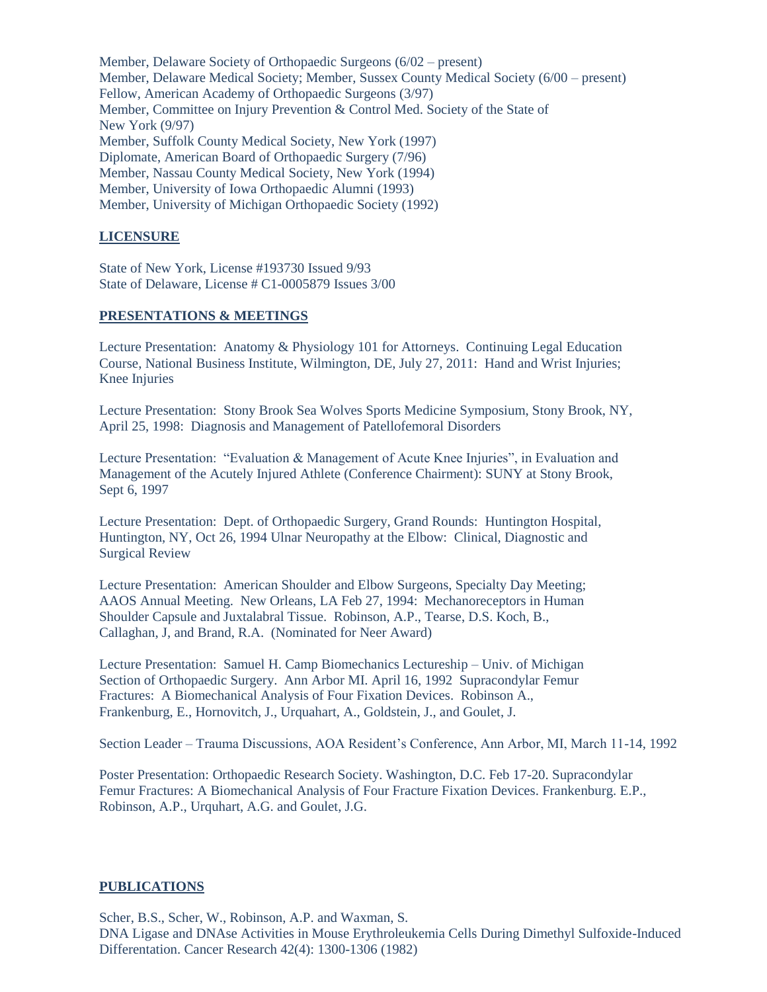Member, Delaware Society of Orthopaedic Surgeons (6/02 – present) Member, Delaware Medical Society; Member, Sussex County Medical Society (6/00 – present) Fellow, American Academy of Orthopaedic Surgeons (3/97) Member, Committee on Injury Prevention & Control Med. Society of the State of New York (9/97) Member, Suffolk County Medical Society, New York (1997) Diplomate, American Board of Orthopaedic Surgery (7/96) Member, Nassau County Medical Society, New York (1994) Member, University of Iowa Orthopaedic Alumni (1993) Member, University of Michigan Orthopaedic Society (1992)

# **LICENSURE**

State of New York, License #193730 Issued 9/93 State of Delaware, License # C1-0005879 Issues 3/00

### **PRESENTATIONS & MEETINGS**

Lecture Presentation: Anatomy & Physiology 101 for Attorneys. Continuing Legal Education Course, National Business Institute, Wilmington, DE, July 27, 2011: Hand and Wrist Injuries; Knee Injuries

Lecture Presentation: Stony Brook Sea Wolves Sports Medicine Symposium, Stony Brook, NY, April 25, 1998: Diagnosis and Management of Patellofemoral Disorders

Lecture Presentation: "Evaluation & Management of Acute Knee Injuries", in Evaluation and Management of the Acutely Injured Athlete (Conference Chairment): SUNY at Stony Brook, Sept 6, 1997

Lecture Presentation: Dept. of Orthopaedic Surgery, Grand Rounds: Huntington Hospital, Huntington, NY, Oct 26, 1994 Ulnar Neuropathy at the Elbow: Clinical, Diagnostic and Surgical Review

Lecture Presentation: American Shoulder and Elbow Surgeons, Specialty Day Meeting; AAOS Annual Meeting. New Orleans, LA Feb 27, 1994: Mechanoreceptors in Human Shoulder Capsule and Juxtalabral Tissue. Robinson, A.P., Tearse, D.S. Koch, B., Callaghan, J, and Brand, R.A. (Nominated for Neer Award)

Lecture Presentation: Samuel H. Camp Biomechanics Lectureship – Univ. of Michigan Section of Orthopaedic Surgery. Ann Arbor MI. April 16, 1992 Supracondylar Femur Fractures: A Biomechanical Analysis of Four Fixation Devices. Robinson A., Frankenburg, E., Hornovitch, J., Urquahart, A., Goldstein, J., and Goulet, J.

Section Leader – Trauma Discussions, AOA Resident's Conference, Ann Arbor, MI, March 11-14, 1992

Poster Presentation: Orthopaedic Research Society. Washington, D.C. Feb 17-20. Supracondylar Femur Fractures: A Biomechanical Analysis of Four Fracture Fixation Devices. Frankenburg. E.P., Robinson, A.P., Urquhart, A.G. and Goulet, J.G.

### **PUBLICATIONS**

Scher, B.S., Scher, W., Robinson, A.P. and Waxman, S. DNA Ligase and DNAse Activities in Mouse Erythroleukemia Cells During Dimethyl Sulfoxide-Induced Differentation. Cancer Research 42(4): 1300-1306 (1982)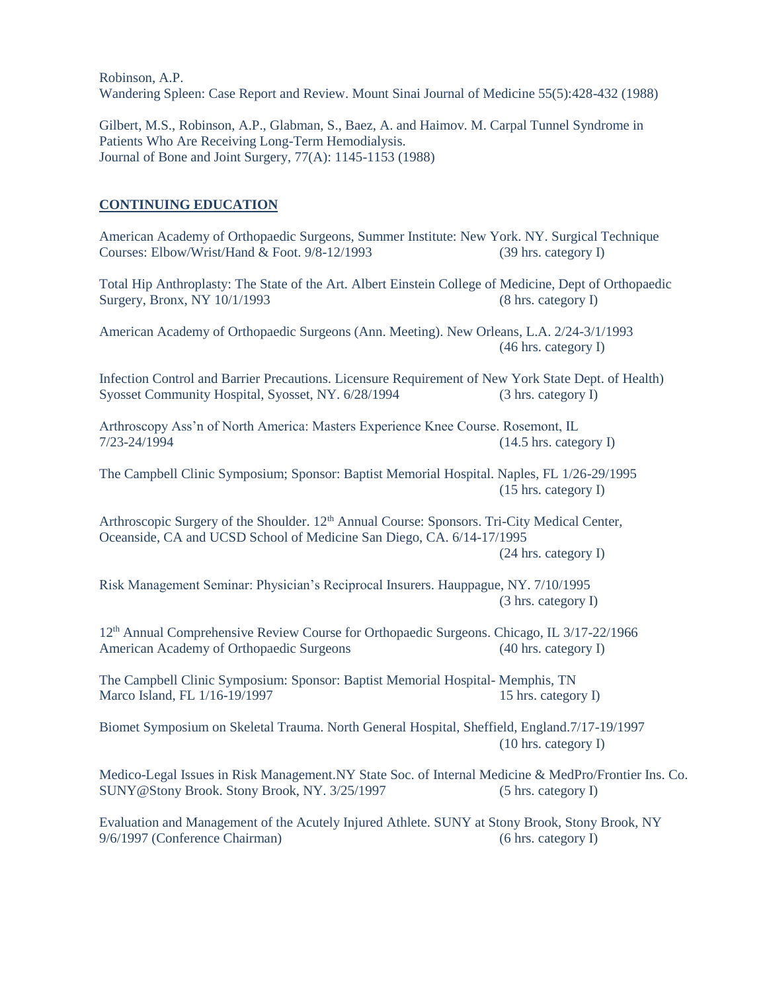Robinson, A.P. Wandering Spleen: Case Report and Review. Mount Sinai Journal of Medicine 55(5):428-432 (1988)

Gilbert, M.S., Robinson, A.P., Glabman, S., Baez, A. and Haimov. M. Carpal Tunnel Syndrome in Patients Who Are Receiving Long-Term Hemodialysis. Journal of Bone and Joint Surgery, 77(A): 1145-1153 (1988)

### **CONTINUING EDUCATION**

American Academy of Orthopaedic Surgeons, Summer Institute: New York. NY. Surgical Technique Courses: Elbow/Wrist/Hand & Foot. 9/8-12/1993 (39 hrs. category I)

Total Hip Anthroplasty: The State of the Art. Albert Einstein College of Medicine, Dept of Orthopaedic Surgery, Bronx, NY 10/1/1993 (8 hrs. category I)

American Academy of Orthopaedic Surgeons (Ann. Meeting). New Orleans, L.A. 2/24-3/1/1993 (46 hrs. category I)

Infection Control and Barrier Precautions. Licensure Requirement of New York State Dept. of Health) Syosset Community Hospital, Syosset, NY. 6/28/1994 (3 hrs. category I)

Arthroscopy Ass'n of North America: Masters Experience Knee Course. Rosemont, IL 7/23-24/1994 (14.5 hrs. category I)

The Campbell Clinic Symposium; Sponsor: Baptist Memorial Hospital. Naples, FL 1/26-29/1995 (15 hrs. category I)

Arthroscopic Surgery of the Shoulder. 12<sup>th</sup> Annual Course: Sponsors. Tri-City Medical Center, Oceanside, CA and UCSD School of Medicine San Diego, CA. 6/14-17/1995

(24 hrs. category I)

Risk Management Seminar: Physician's Reciprocal Insurers. Hauppague, NY. 7/10/1995 (3 hrs. category I)

12th Annual Comprehensive Review Course for Orthopaedic Surgeons. Chicago, IL 3/17-22/1966 American Academy of Orthopaedic Surgeons (40 hrs. category I)

The Campbell Clinic Symposium: Sponsor: Baptist Memorial Hospital- Memphis, TN Marco Island, FL 1/16-19/1997 15 hrs. category I)

Biomet Symposium on Skeletal Trauma. North General Hospital, Sheffield, England.7/17-19/1997 (10 hrs. category I)

Medico-Legal Issues in Risk Management.NY State Soc. of Internal Medicine & MedPro/Frontier Ins. Co. SUNY@Stony Brook. Stony Brook, NY. 3/25/1997 (5 hrs. category I)

Evaluation and Management of the Acutely Injured Athlete. SUNY at Stony Brook, Stony Brook, NY 9/6/1997 (Conference Chairman) (6 hrs. category I)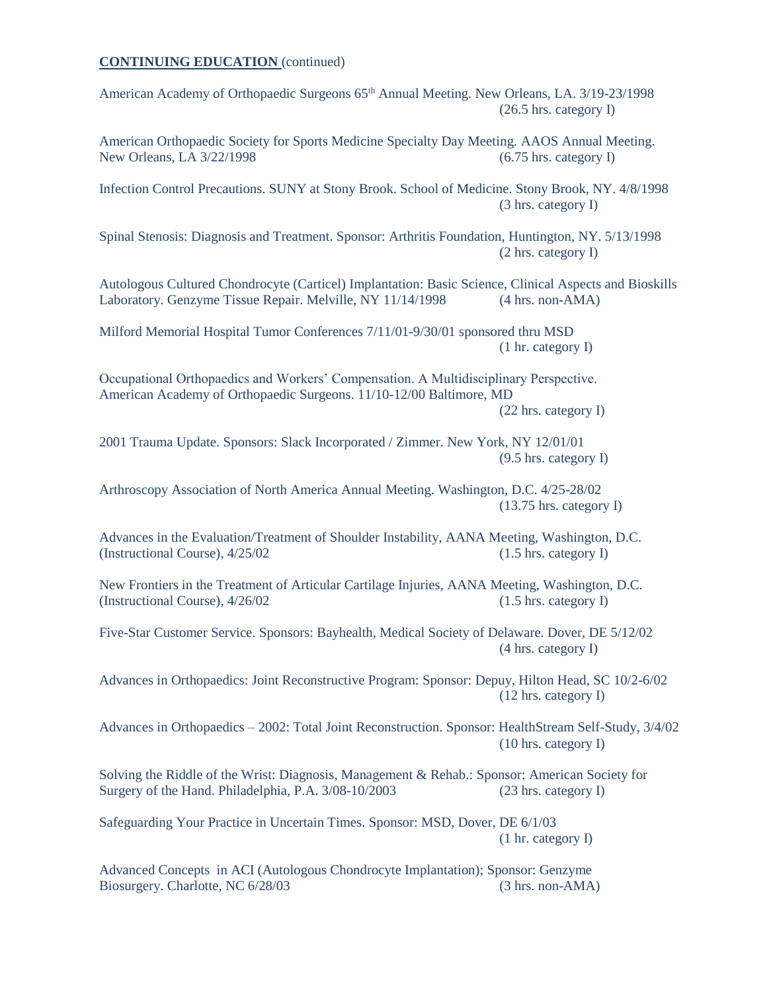American Academy of Orthopaedic Surgeons 65<sup>th</sup> Annual Meeting. New Orleans, LA. 3/19-23/1998 (26.5 hrs. category I)

American Orthopaedic Society for Sports Medicine Specialty Day Meeting. AAOS Annual Meeting. New Orleans, LA 3/22/1998 (6.75 hrs. category I)

Infection Control Precautions. SUNY at Stony Brook. School of Medicine. Stony Brook, NY. 4/8/1998 (3 hrs. category I)

Spinal Stenosis: Diagnosis and Treatment. Sponsor: Arthritis Foundation, Huntington, NY. 5/13/1998 (2 hrs. category I)

Autologous Cultured Chondrocyte (Carticel) Implantation: Basic Science, Clinical Aspects and Bioskills Laboratory. Genzyme Tissue Repair. Melville, NY 11/14/1998 (4 hrs. non-AMA)

Milford Memorial Hospital Tumor Conferences 7/11/01-9/30/01 sponsored thru MSD (1 hr. category I)

Occupational Orthopaedics and Workers' Compensation. A Multidisciplinary Perspective. American Academy of Orthopaedic Surgeons. 11/10-12/00 Baltimore, MD

(22 hrs. category I)

2001 Trauma Update. Sponsors: Slack Incorporated / Zimmer. New York, NY 12/01/01 (9.5 hrs. category I)

Arthroscopy Association of North America Annual Meeting. Washington, D.C. 4/25-28/02 (13.75 hrs. category I)

Advances in the Evaluation/Treatment of Shoulder Instability, AANA Meeting, Washington, D.C. (Instructional Course), 4/25/02 (1.5 hrs. category I)

New Frontiers in the Treatment of Articular Cartilage Injuries, AANA Meeting, Washington, D.C. (Instructional Course), 4/26/02 (1.5 hrs. category I)

Five-Star Customer Service. Sponsors: Bayhealth, Medical Society of Delaware. Dover, DE 5/12/02 (4 hrs. category I)

Advances in Orthopaedics: Joint Reconstructive Program: Sponsor: Depuy, Hilton Head, SC 10/2-6/02 (12 hrs. category I)

Advances in Orthopaedics – 2002: Total Joint Reconstruction. Sponsor: HealthStream Self-Study, 3/4/02 (10 hrs. category I)

Solving the Riddle of the Wrist: Diagnosis, Management & Rehab.: Sponsor: American Society for Surgery of the Hand. Philadelphia, P.A. 3/08-10/2003 (23 hrs. category I)

Safeguarding Your Practice in Uncertain Times. Sponsor: MSD, Dover, DE 6/1/03 (1 hr. category I)

Advanced Concepts in ACI (Autologous Chondrocyte Implantation); Sponsor: Genzyme Biosurgery. Charlotte, NC 6/28/03 (3 hrs. non-AMA)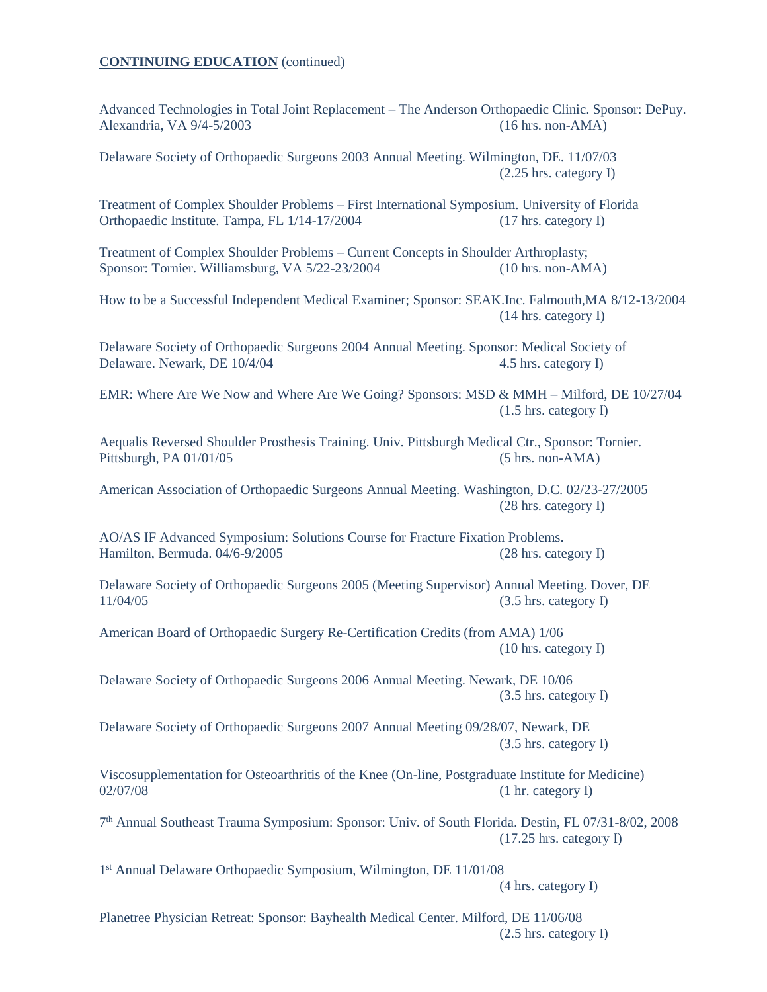Advanced Technologies in Total Joint Replacement – The Anderson Orthopaedic Clinic. Sponsor: DePuy. Alexandria, VA 9/4-5/2003 (16 hrs. non-AMA)

Delaware Society of Orthopaedic Surgeons 2003 Annual Meeting. Wilmington, DE. 11/07/03 (2.25 hrs. category I)

Treatment of Complex Shoulder Problems – First International Symposium. University of Florida Orthopaedic Institute. Tampa, FL 1/14-17/2004 (17 hrs. category I)

Treatment of Complex Shoulder Problems – Current Concepts in Shoulder Arthroplasty; Sponsor: Tornier. Williamsburg, VA 5/22-23/2004 (10 hrs. non-AMA)

How to be a Successful Independent Medical Examiner; Sponsor: SEAK.Inc. Falmouth,MA 8/12-13/2004 (14 hrs. category I)

Delaware Society of Orthopaedic Surgeons 2004 Annual Meeting. Sponsor: Medical Society of Delaware. Newark, DE 10/4/04 4.5 hrs. category I)

EMR: Where Are We Now and Where Are We Going? Sponsors: MSD & MMH – Milford, DE 10/27/04 (1.5 hrs. category I)

Aequalis Reversed Shoulder Prosthesis Training. Univ. Pittsburgh Medical Ctr., Sponsor: Tornier. Pittsburgh, PA 01/01/05 (5 hrs. non-AMA)

American Association of Orthopaedic Surgeons Annual Meeting. Washington, D.C. 02/23-27/2005 (28 hrs. category I)

AO/AS IF Advanced Symposium: Solutions Course for Fracture Fixation Problems. Hamilton, Bermuda. 04/6-9/2005 (28 hrs. category I)

Delaware Society of Orthopaedic Surgeons 2005 (Meeting Supervisor) Annual Meeting. Dover, DE  $11/04/05$  (3.5 hrs. category I)

American Board of Orthopaedic Surgery Re-Certification Credits (from AMA) 1/06 (10 hrs. category I)

Delaware Society of Orthopaedic Surgeons 2006 Annual Meeting. Newark, DE 10/06 (3.5 hrs. category I)

Delaware Society of Orthopaedic Surgeons 2007 Annual Meeting 09/28/07, Newark, DE (3.5 hrs. category I)

Viscosupplementation for Osteoarthritis of the Knee (On-line, Postgraduate Institute for Medicine) 02/07/08 (1 hr. category I)

7 th Annual Southeast Trauma Symposium: Sponsor: Univ. of South Florida. Destin, FL 07/31-8/02, 2008 (17.25 hrs. category I)

1 st Annual Delaware Orthopaedic Symposium, Wilmington, DE 11/01/08

(4 hrs. category I)

Planetree Physician Retreat: Sponsor: Bayhealth Medical Center. Milford, DE 11/06/08 (2.5 hrs. category I)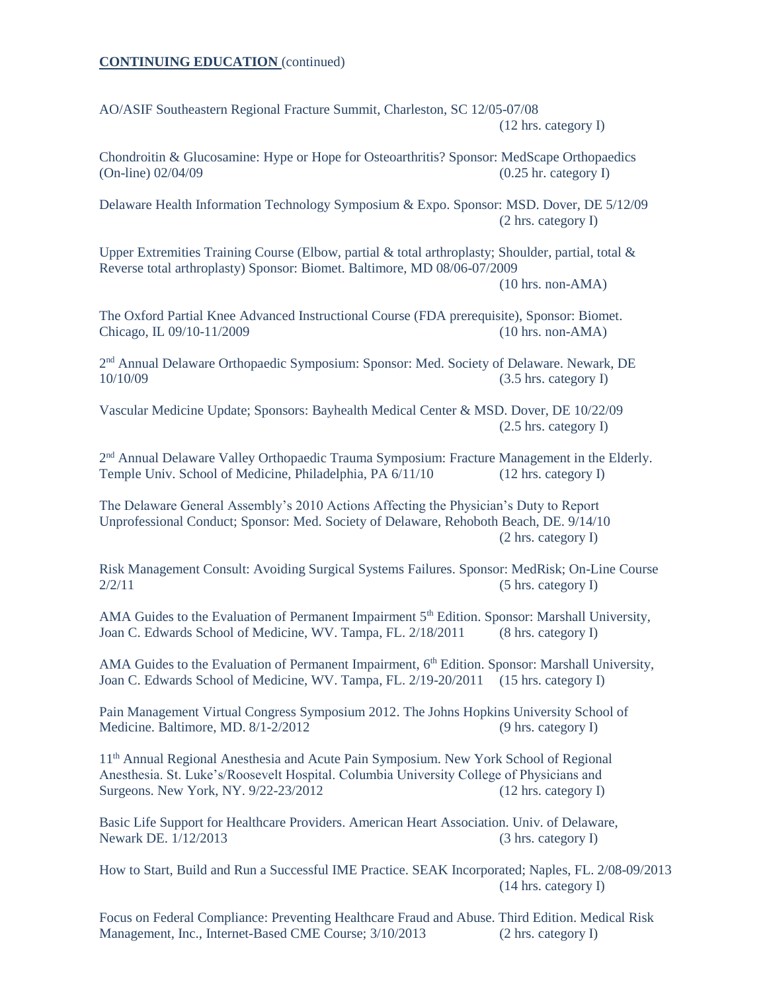AO/ASIF Southeastern Regional Fracture Summit, Charleston, SC 12/05-07/08 (12 hrs. category I)

Chondroitin & Glucosamine: Hype or Hope for Osteoarthritis? Sponsor: MedScape Orthopaedics (On-line) 02/04/09 (0.25 hr. category I)

Delaware Health Information Technology Symposium & Expo. Sponsor: MSD. Dover, DE 5/12/09 (2 hrs. category I)

Upper Extremities Training Course (Elbow, partial & total arthroplasty; Shoulder, partial, total & Reverse total arthroplasty) Sponsor: Biomet. Baltimore, MD 08/06-07/2009 (10 hrs. non-AMA)

The Oxford Partial Knee Advanced Instructional Course (FDA prerequisite), Sponsor: Biomet.

Chicago, IL 09/10-11/2009 (10 hrs. non-AMA)

2<sup>nd</sup> Annual Delaware Orthopaedic Symposium: Sponsor: Med. Society of Delaware. Newark, DE 10/10/09 (3.5 hrs. category I)

Vascular Medicine Update; Sponsors: Bayhealth Medical Center & MSD. Dover, DE 10/22/09 (2.5 hrs. category I)

2<sup>nd</sup> Annual Delaware Valley Orthopaedic Trauma Symposium: Fracture Management in the Elderly. Temple Univ. School of Medicine, Philadelphia, PA 6/11/10 (12 hrs. category I)

The Delaware General Assembly's 2010 Actions Affecting the Physician's Duty to Report Unprofessional Conduct; Sponsor: Med. Society of Delaware, Rehoboth Beach, DE. 9/14/10 (2 hrs. category I)

Risk Management Consult: Avoiding Surgical Systems Failures. Sponsor: MedRisk; On-Line Course  $2/2/11$  (5 hrs. category I)

AMA Guides to the Evaluation of Permanent Impairment 5<sup>th</sup> Edition. Sponsor: Marshall University, Joan C. Edwards School of Medicine, WV. Tampa, FL. 2/18/2011 (8 hrs. category I)

AMA Guides to the Evaluation of Permanent Impairment, 6<sup>th</sup> Edition. Sponsor: Marshall University, Joan C. Edwards School of Medicine, WV. Tampa, FL. 2/19-20/2011 (15 hrs. category I)

Pain Management Virtual Congress Symposium 2012. The Johns Hopkins University School of Medicine. Baltimore, MD. 8/1-2/2012 (9 hrs. category I)

11th Annual Regional Anesthesia and Acute Pain Symposium. New York School of Regional Anesthesia. St. Luke's/Roosevelt Hospital. Columbia University College of Physicians and Surgeons. New York, NY. 9/22-23/2012 (12 hrs. category I)

Basic Life Support for Healthcare Providers. American Heart Association. Univ. of Delaware, Newark DE. 1/12/2013 (3 hrs. category I)

How to Start, Build and Run a Successful IME Practice. SEAK Incorporated; Naples, FL. 2/08-09/2013 (14 hrs. category I)

Focus on Federal Compliance: Preventing Healthcare Fraud and Abuse. Third Edition. Medical Risk Management, Inc., Internet-Based CME Course;  $3/10/2013$  (2 hrs. category I)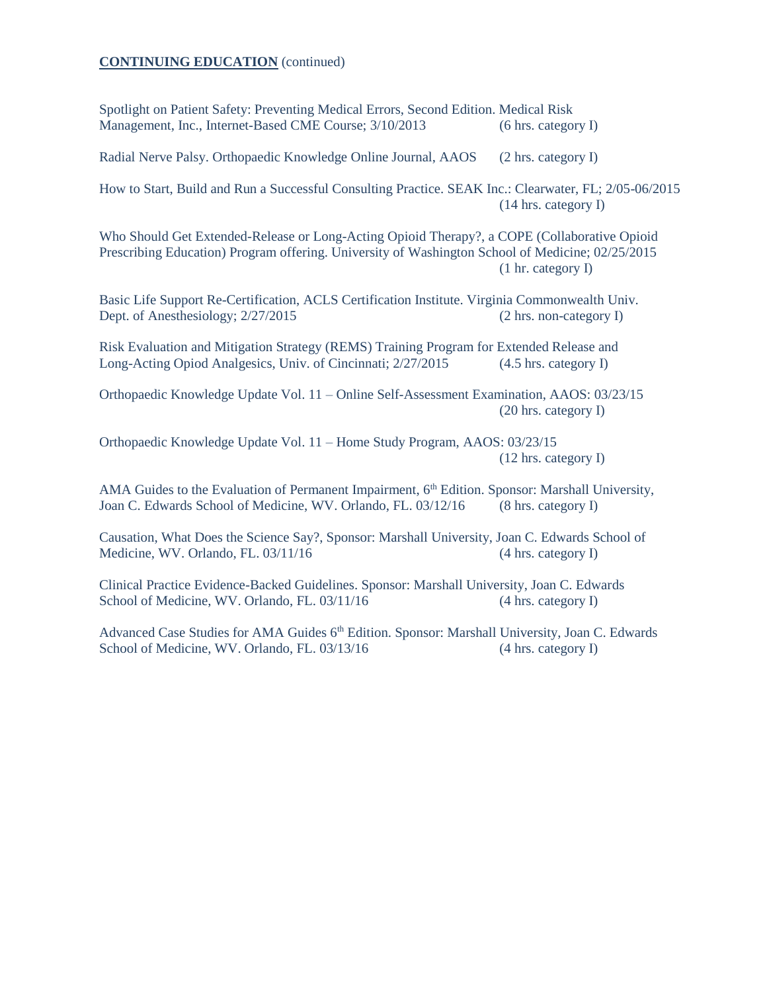Spotlight on Patient Safety: Preventing Medical Errors, Second Edition. Medical Risk Management, Inc., Internet-Based CME Course; 3/10/2013 (6 hrs. category I)

Radial Nerve Palsy. Orthopaedic Knowledge Online Journal, AAOS (2 hrs. category I)

How to Start, Build and Run a Successful Consulting Practice. SEAK Inc.: Clearwater, FL; 2/05-06/2015 (14 hrs. category I)

Who Should Get Extended-Release or Long-Acting Opioid Therapy?, a COPE (Collaborative Opioid Prescribing Education) Program offering. University of Washington School of Medicine; 02/25/2015 (1 hr. category I)

Basic Life Support Re-Certification, ACLS Certification Institute. Virginia Commonwealth Univ. Dept. of Anesthesiology;  $2/27/2015$  (2 hrs. non-category I)

Risk Evaluation and Mitigation Strategy (REMS) Training Program for Extended Release and Long-Acting Opiod Analgesics, Univ. of Cincinnati; 2/27/2015 (4.5 hrs. category I)

Orthopaedic Knowledge Update Vol. 11 – Online Self-Assessment Examination, AAOS: 03/23/15 (20 hrs. category I)

Orthopaedic Knowledge Update Vol. 11 – Home Study Program, AAOS: 03/23/15 (12 hrs. category I)

AMA Guides to the Evaluation of Permanent Impairment,  $6<sup>th</sup>$  Edition. Sponsor: Marshall University, Joan C. Edwards School of Medicine, WV. Orlando, FL. 03/12/16 (8 hrs. category I)

Causation, What Does the Science Say?, Sponsor: Marshall University, Joan C. Edwards School of Medicine, WV. Orlando, FL. 03/11/16 (4 hrs. category I)

Clinical Practice Evidence-Backed Guidelines. Sponsor: Marshall University, Joan C. Edwards School of Medicine, WV. Orlando, FL. 03/11/16 (4 hrs. category I)

Advanced Case Studies for AMA Guides 6<sup>th</sup> Edition. Sponsor: Marshall University, Joan C. Edwards School of Medicine, WV. Orlando, FL. 03/13/16 (4 hrs. category I)